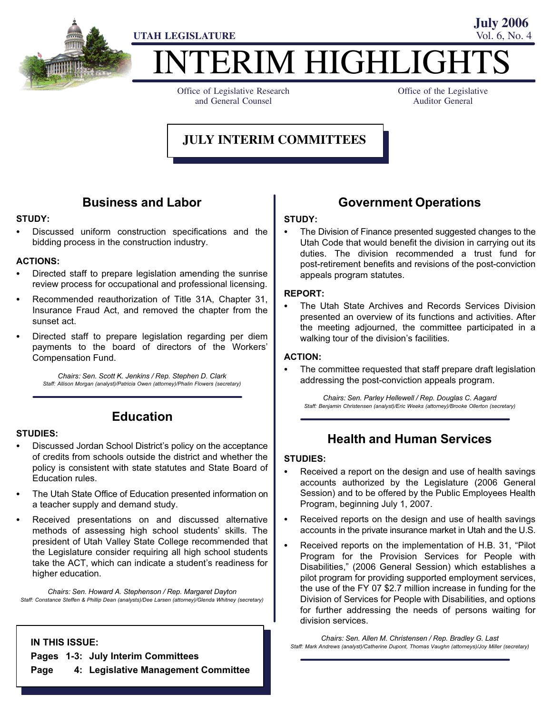

# TERIM HIGHLIGHT

Office of Legislative Research and General Counsel

Office of the Legislative Auditor General

**July 2006**

# **JULY INTERIM COMMITTEES**

### Business and Labor

# STUDY:<br>--

 Discussed uniform construction specifications and the bidding process in the construction industry.

# ACTIONS: -

- Directed staff to prepare legislation amending the sunrise review process for occupational and professional licensing.
- Recommended reauthorization of Title 31A, Chapter 31, Insurance Fraud Act, and removed the chapter from the sunset act.
- Directed staff to prepare legislation regarding per diem payments to the board of directors of the Workers' Compensation Fund.

Chairs: Sen. Scott K. Jenkins / Rep. Stephen D. Clark Staff: Allison Morgan (analyst)/Patricia Owen (attorney)/Phalin Flowers (secretary)

# STUDIES:<br>--

#### Education

- Discussed Jordan School District's policy on the acceptance of credits from schools outside the district and whether the policy is consistent with state statutes and State Board of Education rules.
- The Utah State Office of Education presented information on a teacher supply and demand study.
- Received presentations on and discussed alternative methods of assessing high school students' skills. The president of Utah Valley State College recommended that the Legislature consider requiring all high school students take the ACT, which can indicate a student's readiness for higher education.

Chairs: Sen. Howard A. Stephenson / Rep. Margaret Dayton Staff: Constance Steffen & Phillip Dean (analysts)/Dee Larsen (attorney)/Glenda Whitney (secretary)

#### IN THIS ISSUE:

Pages 1−3: July Interim Committees

Page 4: Legislative Management Committee

# Government Operations

# STUDY: -

 The Division of Finance presented suggested changes to the Utah Code that would benefit the division in carrying out its duties. The division recommended a trust fund for post−retirement benefits and revisions of the post−conviction appeals program statutes.

# REPORT: -

 The Utah State Archives and Records Services Division presented an overview of its functions and activities. After the meeting adjourned, the committee participated in a walking tour of the division's facilities.

# ACTION: -

 The committee requested that staff prepare draft legislation addressing the post−conviction appeals program.

Chairs: Sen. Parley Hellewell / Rep. Douglas C. Aagard Staff: Benjamin Christensen (analyst)/Eric Weeks (attorney)/Brooke Ollerton (secretary)

### Health and Human Services

# STUDIES: -

- Received a report on the design and use of health savings accounts authorized by the Legislature (2006 General Session) and to be offered by the Public Employees Health Program, beginning July 1, 2007.
- Received reports on the design and use of health savings accounts in the private insurance market in Utah and the U.S.
- Received reports on the implementation of H.B. 31, "Pilot Program for the Provision Services for People with Disabilities," (2006 General Session) which establishes a pilot program for providing supported employment services, the use of the FY 07 \$2.7 million increase in funding for the Division of Services for People with Disabilities, and options for further addressing the needs of persons waiting for division services.

Chairs: Sen. Allen M. Christensen / Rep. Bradley G. Last Staff: Mark Andrews (analyst)/Catherine Dupont, Thomas Vaughn (attorneys)/Joy Miller (secretary)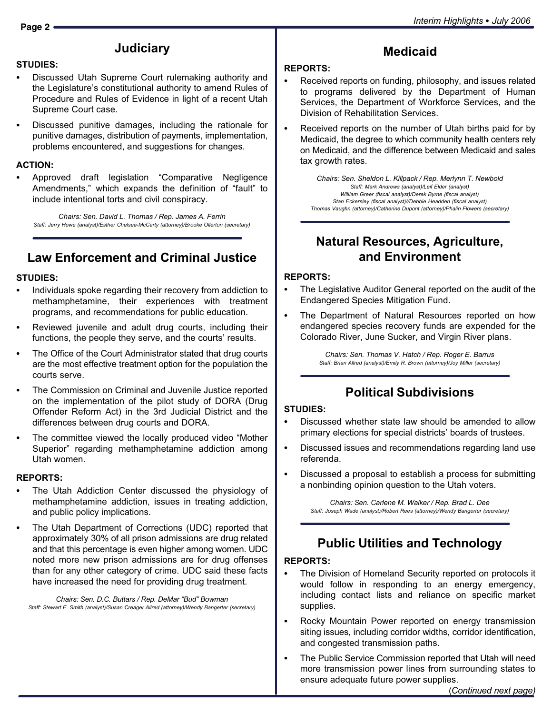# **Judiciary**

# STUDIES:<br>--

- Discussed Utah Supreme Court rulemaking authority and the Legislature's constitutional authority to amend Rules of Procedure and Rules of Evidence in light of a recent Utah Supreme Court case.
- Discussed punitive damages, including the rationale for punitive damages, distribution of payments, implementation, problems encountered, and suggestions for changes.

# ACTION: -

• Approved draft legislation "Comparative Negligence Amendments," which expands the definition of "fault" to include intentional torts and civil conspiracy.

Chairs: Sen. David L. Thomas / Rep. James A. Ferrin Staff: Jerry Howe (analyst)/Esther Chelsea−McCarty (attorney)/Brooke Ollerton (secretary)

# Law Enforcement and Criminal Justice

# STUDIES: -

- Individuals spoke regarding their recovery from addiction to methamphetamine, their experiences with treatment programs, and recommendations for public education.
- Reviewed juvenile and adult drug courts, including their functions, the people they serve, and the courts' results.
- The Office of the Court Administrator stated that drug courts are the most effective treatment option for the population the courts serve.
- The Commission on Criminal and Juvenile Justice reported on the implementation of the pilot study of DORA (Drug Offender Reform Act) in the 3rd Judicial District and the differences between drug courts and DORA.
- The committee viewed the locally produced video "Mother Superior" regarding methamphetamine addiction among Utah women.

# REPORTS:<br>———————

- The Utah Addiction Center discussed the physiology of methamphetamine addiction, issues in treating addiction, and public policy implications.
- The Utah Department of Corrections (UDC) reported that approximately 30% of all prison admissions are drug related and that this percentage is even higher among women. UDC noted more new prison admissions are for drug offenses than for any other category of crime. UDC said these facts have increased the need for providing drug treatment.

Chairs: Sen. D.C. Buttars / Rep. DeMar "Bud" Bowman Staff: Stewart E. Smith (analyst)/Susan Creager Allred (attorney)/Wendy Bangerter (secretary)

# REPORTS: -

 Received reports on funding, philosophy, and issues related to programs delivered by the Department of Human Services, the Department of Workforce Services, and the Division of Rehabilitation Services.

Medicaid

 Received reports on the number of Utah births paid for by Medicaid, the degree to which community health centers rely on Medicaid, and the difference between Medicaid and sales tax growth rates.

Chairs: Sen. Sheldon L. Killpack / Rep. Merlynn T. Newbold Staff: Mark Andrews (analyst)/Leif Elder (analyst) William Greer (fiscal analyst)/Derek Byrne (fiscal analyst) Stan Eckersley (fiscal analyst)//Debbie Headden (fiscal analyst) Thomas Vaughn (attorney)/Catherine Dupont (attorney)/Phalin Flowers (secretary)

# Natural Resources, Agriculture, and Environment

# REPORTS:<br>—

- The Legislative Auditor General reported on the audit of the Endangered Species Mitigation Fund.
- The Department of Natural Resources reported on how endangered species recovery funds are expended for the Colorado River, June Sucker, and Virgin River plans.

Chairs: Sen. Thomas V. Hatch / Rep. Roger E. Barrus Staff: Brian Allred (analyst)/Emily R. Brown (attorney)/Joy Miller (secretary)

# Political Subdivisions

# STUDIES:<br>-

- Discussed whether state law should be amended to allow primary elections for special districts' boards of trustees.
- Discussed issues and recommendations regarding land use referenda.
	- Discussed a proposal to establish a process for submitting a nonbinding opinion question to the Utah voters.

Chairs: Sen. Carlene M. Walker / Rep. Brad L. Dee Staff: Joseph Wade (analyst)/Robert Rees (attorney)/Wendy Bangerter (secretary)

# Public Utilities and Technology

# REPORTS:<br>—

- The Division of Homeland Security reported on protocols it would follow in responding to an energy emergency, including contact lists and reliance on specific market supplies.
- Rocky Mountain Power reported on energy transmission siting issues, including corridor widths, corridor identification, and congested transmission paths.
- The Public Service Commission reported that Utah will need more transmission power lines from surrounding states to ensure adequate future power supplies.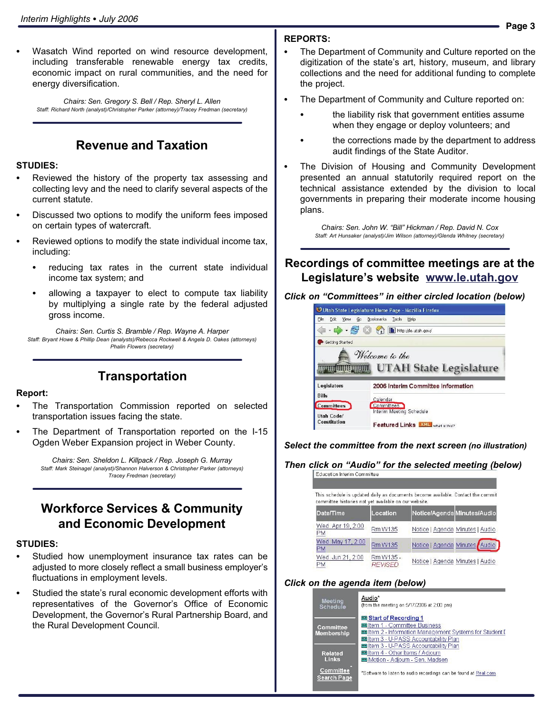Wasatch Wind reported on wind resource development, including transferable renewable energy tax credits, economic impact on rural communities, and the need for energy diversification.

Chairs: Sen. Gregory S. Bell / Rep. Sheryl L. Allen Staff: Richard North (analyst)/Christopher Parker (attorney)/Tracey Fredman (secretary)

# Revenue and Taxation

# STUDIES:<br>-

- Reviewed the history of the property tax assessing and collecting levy and the need to clarify several aspects of the current statute.
- Discussed two options to modify the uniform fees imposed on certain types of watercraft.
- Reviewed options to modify the state individual income tax, including:
	- reducing tax rates in the current state individual income tax system; and
	- allowing a taxpayer to elect to compute tax liability by multiplying a single rate by the federal adjusted gross income.

Chairs: Sen. Curtis S. Bramble / Rep. Wayne A. Harper Staff: Bryant Howe & Phillip Dean (analysts)/Rebecca Rockwell & Angela D. Oakes (attorneys) Phalin Flowers (secretary)

#### Transportation

### Report:<br>\_\_

- The Transportation Commission reported on selected transportation issues facing the state.
- The Department of Transportation reported on the I−15 Ogden Weber Expansion project in Weber County.

Chairs: Sen. Sheldon L. Killpack / Rep. Joseph G. Murray Staff: Mark Steinagel (analyst)/Shannon Halverson & Christopher Parker (attorneys) Tracey Fredman (secretary)

### Workforce Services & Community and Economic Development

# STUDIES: -

- Studied how unemployment insurance tax rates can be adjusted to more closely reflect a small business employer's fluctuations in employment levels.
- Studied the state's rural economic development efforts with representatives of the Governor's Office of Economic Development, the Governor's Rural Partnership Board, and the Rural Development Council.

# REPORTS:<br>—

- The Department of Community and Culture reported on the digitization of the state's art, history, museum, and library collections and the need for additional funding to complete the project.
- The Department of Community and Culture reported on:
	- the liability risk that government entities assume when they engage or deploy volunteers; and
	- the corrections made by the department to address audit findings of the State Auditor.
- The Division of Housing and Community Development presented an annual statutorily required report on the technical assistance extended by the division to local governments in preparing their moderate income housing plans.

Chairs: Sen. John W. "Bill" Hickman / Rep. David N. Cox Staff: Art Hunsaker (analyst)/Jim Wilson (attorney)/Glenda Whitney (secretary)

#### Recordings of committee meetings are at the Legislature's website www.le.utah.gov



Select the committee from the next screen (no illustration)

#### Then click on "Audio" for the selected meeting (below)

| This schedule is updated daily as documents become available. Contact the commit |                             |                                 |  |
|----------------------------------------------------------------------------------|-----------------------------|---------------------------------|--|
| committee histories not yet available on our website.                            |                             |                                 |  |
| Date/Time                                                                        | Location                    | Notice/Agenda Minutes/Audio     |  |
| Wed. Apr 19, 2:00<br>PМ                                                          | Rm W135                     | Notice   Agenda Minutes   Audio |  |
| Wed. May 17, 2:00<br>PM                                                          | <b>Rm W135</b>              | Notice   Agenda Minutes Audio   |  |
| Wed. Jun 21, 2:00<br>РM                                                          | Rm W135 -<br><b>RFVISFD</b> | Notice   Agenda Minutes   Audio |  |

#### Click on the agenda item (below)

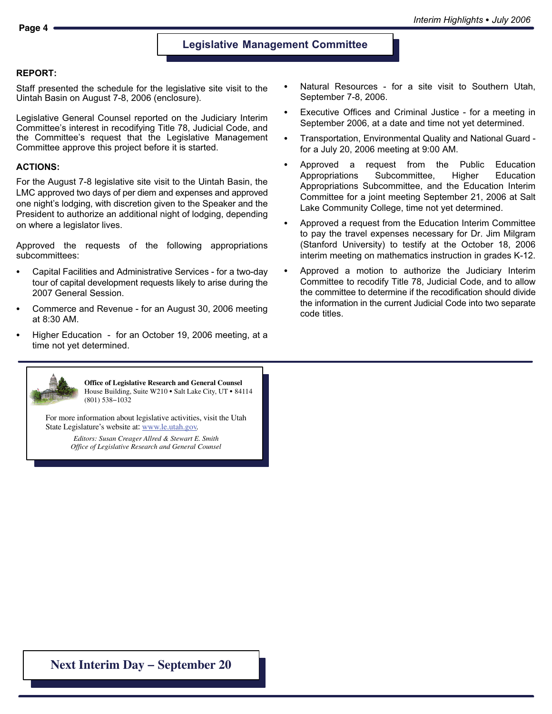#### Legislative Management Committee

#### REPORT:

Staff presented the schedule for the legislative site visit to the Uintah Basin on August 7−8, 2006 (enclosure).

Legislative General Counsel reported on the Judiciary Interim Committee´s interest in recodifying Title 78, Judicial Code, and the Committee's request that the Legislative Management Committee approve this project before it is started.

#### ACTIONS:

For the August 7−8 legislative site visit to the Uintah Basin, the LMC approved two days of per diem and expenses and approved one night's lodging, with discretion given to the Speaker and the President to authorize an additional night of lodging, depending on where a legislator lives.

Approved the requests of the following appropriations subcommittees:

- Capital Facilities and Administrative Services − for a two−day tour of capital development requests likely to arise during the 2007 General Session.
- Commerce and Revenue − for an August 30, 2006 meeting at 8:30 AM.
- Higher Education − for an October 19, 2006 meeting, at a time not yet determined.
- Natural Resources − for a site visit to Southern Utah, September 7−8, 2006.
- Executive Offices and Criminal Justice − for a meeting in September 2006, at a date and time not yet determined.
- $\bullet$  Transportation, Environmental Quality and National Guard − for a July 20, 2006 meeting at 9:00 AM.
- Approved a request from the Public Education Appropriations Subcommittee, Higher Education Appropriations Subcommittee, and the Education Interim Committee for a joint meeting September 21, 2006 at Salt Lake Community College, time not yet determined.
- Approved a request from the Education Interim Committee to pay the travel expenses necessary for Dr. Jim Milgram (Stanford University) to testify at the October 18, 2006 interim meeting on mathematics instruction in grades K−12.
- Approved a motion to authorize the Judiciary Interim Committee to recodify Title 78, Judicial Code, and to allow the committee to determine if the recodification should divide the information in the current Judicial Code into two separate code titles.



**Office of Legislative Research and General Counsel** Office of Legislative Research and General Counsel<br>House Building, Suite W210 • Salt Lake City, UT • 84114 (801) 538−1032

For more information about legislative activities, visit the Utah State Legislature's website at: www.le.utah.gov.

> *Editors: Susan Creager Allred & Stewart E. Smith Office of Legislative Research and General Counsel*

**Next Interim Day − September 20**